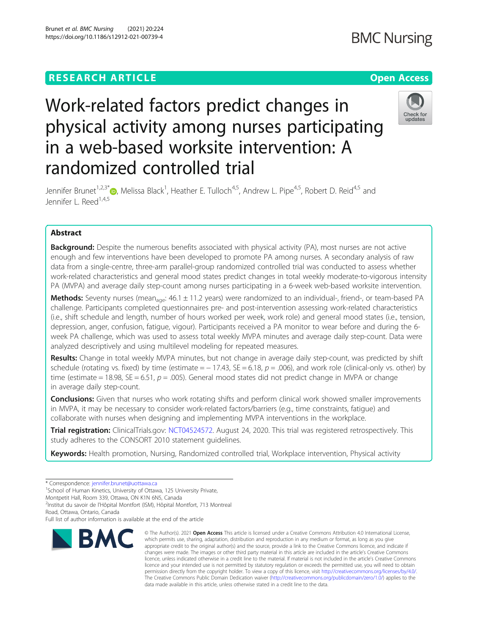## **RESEARCH ARTICLE Example 2014 12:30 The Open Access**

# Check for updates

Jennifer Brunet<sup>1[,](http://orcid.org/0000-0003-3242-5444)2,3\*</sup> (D, Melissa Black<sup>1</sup>, Heather E. Tulloch<sup>4,5</sup>, Andrew L. Pipe<sup>4,5</sup>, Robert D. Reid<sup>4,5</sup> and Jennifer L. Reed<sup>1,4,5</sup>

physical activity among nurses participating

Work-related factors predict changes in

in a web-based worksite intervention: A

randomized controlled trial

### Abstract

**Background:** Despite the numerous benefits associated with physical activity (PA), most nurses are not active enough and few interventions have been developed to promote PA among nurses. A secondary analysis of raw data from a single-centre, three-arm parallel-group randomized controlled trial was conducted to assess whether work-related characteristics and general mood states predict changes in total weekly moderate-to-vigorous intensity PA (MVPA) and average daily step-count among nurses participating in a 6-week web-based worksite intervention.

Methods: Seventy nurses (mean<sub>age</sub>: 46.1  $\pm$  11.2 years) were randomized to an individual-, friend-, or team-based PA challenge. Participants completed questionnaires pre- and post-intervention assessing work-related characteristics (i.e., shift schedule and length, number of hours worked per week, work role) and general mood states (i.e., tension, depression, anger, confusion, fatigue, vigour). Participants received a PA monitor to wear before and during the 6 week PA challenge, which was used to assess total weekly MVPA minutes and average daily step-count. Data were analyzed descriptively and using multilevel modeling for repeated measures.

Results: Change in total weekly MVPA minutes, but not change in average daily step-count, was predicted by shift schedule (rotating vs. fixed) by time (estimate =  $-17.43$ , SE = 6.18,  $p = .006$ ), and work role (clinical-only vs. other) by time (estimate = 18.98, SE = 6.51,  $p = .005$ ). General mood states did not predict change in MVPA or change in average daily step-count.

**Conclusions:** Given that nurses who work rotating shifts and perform clinical work showed smaller improvements in MVPA, it may be necessary to consider work-related factors/barriers (e.g., time constraints, fatigue) and collaborate with nurses when designing and implementing MVPA interventions in the workplace.

Trial registration: ClinicalTrials.gov: [NCT04524572.](mailto:NCT04524572) August 24, 2020. This trial was registered retrospectively. This study adheres to the CONSORT 2010 statement guidelines.

Keywords: Health promotion, Nursing, Randomized controlled trial, Workplace intervention, Physical activity

<sup>2</sup>Institut du savoir de l'Hôpital Montfort (ISM), Hôpital Montfort, 713 Montreal

Road, Ottawa, Ontario, Canada

Full list of author information is available at the end of the article



<sup>©</sup> The Author(s), 2021 **Open Access** This article is licensed under a Creative Commons Attribution 4.0 International License, which permits use, sharing, adaptation, distribution and reproduction in any medium or format, as long as you give appropriate credit to the original author(s) and the source, provide a link to the Creative Commons licence, and indicate if changes were made. The images or other third party material in this article are included in the article's Creative Commons licence, unless indicated otherwise in a credit line to the material. If material is not included in the article's Creative Commons licence and your intended use is not permitted by statutory regulation or exceeds the permitted use, you will need to obtain permission directly from the copyright holder. To view a copy of this licence, visit [http://creativecommons.org/licenses/by/4.0/.](http://creativecommons.org/licenses/by/4.0/) The Creative Commons Public Domain Dedication waiver [\(http://creativecommons.org/publicdomain/zero/1.0/](http://creativecommons.org/publicdomain/zero/1.0/)) applies to the data made available in this article, unless otherwise stated in a credit line to the data.

<sup>\*</sup> Correspondence: [jennifer.brunet@uottawa.ca](mailto:jennifer.brunet@uottawa.ca) <sup>1</sup>

<sup>&</sup>lt;sup>1</sup>School of Human Kinetics, University of Ottawa, 125 University Private,

Montpetit Hall, Room 339, Ottawa, ON K1N 6N5, Canada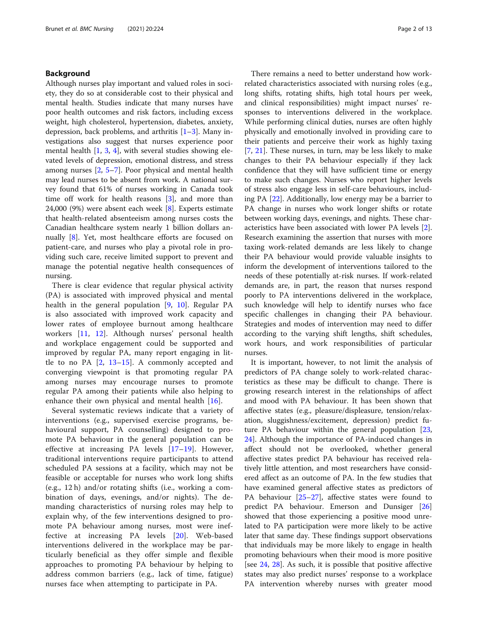#### Background

Although nurses play important and valued roles in society, they do so at considerable cost to their physical and mental health. Studies indicate that many nurses have poor health outcomes and risk factors, including excess weight, high cholesterol, hypertension, diabetes, anxiety, depression, back problems, and arthritis  $[1-3]$  $[1-3]$  $[1-3]$ . Many investigations also suggest that nurses experience poor mental health [[1,](#page-11-0) [3](#page-11-0), [4\]](#page-11-0), with several studies showing elevated levels of depression, emotional distress, and stress among nurses [\[2,](#page-11-0) [5](#page-11-0)–[7](#page-11-0)]. Poor physical and mental health may lead nurses to be absent from work. A national survey found that 61% of nurses working in Canada took time off work for health reasons  $[3]$  $[3]$ , and more than 24,000 (9%) were absent each week [\[8](#page-11-0)]. Experts estimate that health-related absenteeism among nurses costs the Canadian healthcare system nearly 1 billion dollars annually [\[8](#page-11-0)]. Yet, most healthcare efforts are focused on patient-care, and nurses who play a pivotal role in providing such care, receive limited support to prevent and manage the potential negative health consequences of nursing.

There is clear evidence that regular physical activity (PA) is associated with improved physical and mental health in the general population [[9,](#page-11-0) [10](#page-11-0)]. Regular PA is also associated with improved work capacity and lower rates of employee burnout among healthcare workers [[11,](#page-11-0) [12\]](#page-11-0). Although nurses' personal health and workplace engagement could be supported and improved by regular PA, many report engaging in little to no PA [[2](#page-11-0), [13](#page-11-0)–[15\]](#page-11-0). A commonly accepted and converging viewpoint is that promoting regular PA among nurses may encourage nurses to promote regular PA among their patients while also helping to enhance their own physical and mental health [[16](#page-11-0)].

Several systematic reviews indicate that a variety of interventions (e.g., supervised exercise programs, behavioural support, PA counselling) designed to promote PA behaviour in the general population can be effective at increasing PA levels [[17](#page-11-0)–[19](#page-11-0)]. However, traditional interventions require participants to attend scheduled PA sessions at a facility, which may not be feasible or acceptable for nurses who work long shifts (e.g., 12 h) and/or rotating shifts (i.e., working a combination of days, evenings, and/or nights). The demanding characteristics of nursing roles may help to explain why, of the few interventions designed to promote PA behaviour among nurses, most were ineffective at increasing PA levels [[20](#page-11-0)]. Web-based interventions delivered in the workplace may be particularly beneficial as they offer simple and flexible approaches to promoting PA behaviour by helping to address common barriers (e.g., lack of time, fatigue) nurses face when attempting to participate in PA.

There remains a need to better understand how workrelated characteristics associated with nursing roles (e.g., long shifts, rotating shifts, high total hours per week, and clinical responsibilities) might impact nurses' responses to interventions delivered in the workplace. While performing clinical duties, nurses are often highly physically and emotionally involved in providing care to their patients and perceive their work as highly taxing [[7,](#page-11-0) [21\]](#page-12-0). These nurses, in turn, may be less likely to make changes to their PA behaviour especially if they lack confidence that they will have sufficient time or energy to make such changes. Nurses who report higher levels of stress also engage less in self-care behaviours, including PA [\[22\]](#page-12-0). Additionally, low energy may be a barrier to PA change in nurses who work longer shifts or rotate between working days, evenings, and nights. These characteristics have been associated with lower PA levels [\[2](#page-11-0)]. Research examining the assertion that nurses with more taxing work-related demands are less likely to change their PA behaviour would provide valuable insights to inform the development of interventions tailored to the needs of these potentially at-risk nurses. If work-related demands are, in part, the reason that nurses respond poorly to PA interventions delivered in the workplace, such knowledge will help to identify nurses who face specific challenges in changing their PA behaviour. Strategies and modes of intervention may need to differ according to the varying shift lengths, shift schedules, work hours, and work responsibilities of particular nurses.

It is important, however, to not limit the analysis of predictors of PA change solely to work-related characteristics as these may be difficult to change. There is growing research interest in the relationships of affect and mood with PA behaviour. It has been shown that affective states (e.g., pleasure/displeasure, tension/relaxation, sluggishness/excitement, depression) predict future PA behaviour within the general population [[23](#page-12-0), [24\]](#page-12-0). Although the importance of PA-induced changes in affect should not be overlooked, whether general affective states predict PA behaviour has received relatively little attention, and most researchers have considered affect as an outcome of PA. In the few studies that have examined general affective states as predictors of PA behaviour [[25](#page-12-0)–[27\]](#page-12-0), affective states were found to predict PA behaviour. Emerson and Dunsiger [[26](#page-12-0)] showed that those experiencing a positive mood unrelated to PA participation were more likely to be active later that same day. These findings support observations that individuals may be more likely to engage in health promoting behaviours when their mood is more positive [see [24,](#page-12-0) [28\]](#page-12-0). As such, it is possible that positive affective states may also predict nurses' response to a workplace PA intervention whereby nurses with greater mood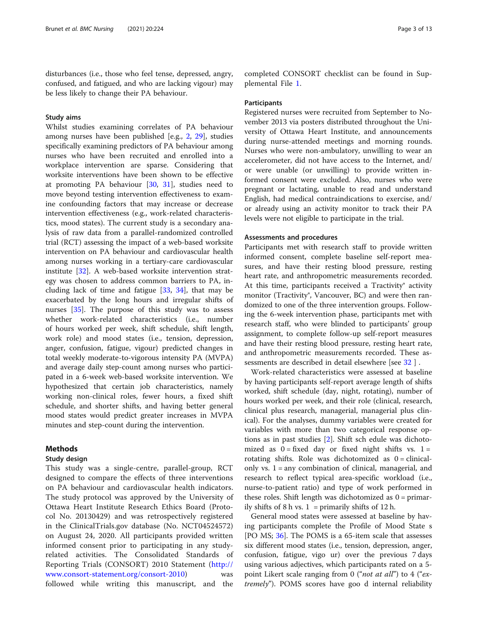disturbances (i.e., those who feel tense, depressed, angry, confused, and fatigued, and who are lacking vigour) may be less likely to change their PA behaviour.

#### Study aims

Whilst studies examining correlates of PA behaviour among nurses have been published [e.g., [2,](#page-11-0) [29\]](#page-12-0), studies specifically examining predictors of PA behaviour among nurses who have been recruited and enrolled into a workplace intervention are sparse. Considering that worksite interventions have been shown to be effective at promoting PA behaviour [\[30](#page-12-0), [31\]](#page-12-0), studies need to move beyond testing intervention effectiveness to examine confounding factors that may increase or decrease intervention effectiveness (e.g., work-related characteristics, mood states). The current study is a secondary analysis of raw data from a parallel-randomized controlled trial (RCT) assessing the impact of a web-based worksite intervention on PA behaviour and cardiovascular health among nurses working in a tertiary-care cardiovascular institute [[32\]](#page-12-0). A web-based worksite intervention strategy was chosen to address common barriers to PA, including lack of time and fatigue [[33](#page-12-0), [34\]](#page-12-0), that may be exacerbated by the long hours and irregular shifts of nurses [[35](#page-12-0)]. The purpose of this study was to assess whether work-related characteristics (i.e., number of hours worked per week, shift schedule, shift length, work role) and mood states (i.e., tension, depression, anger, confusion, fatigue, vigour) predicted changes in total weekly moderate-to-vigorous intensity PA (MVPA) and average daily step-count among nurses who participated in a 6-week web-based worksite intervention. We hypothesized that certain job characteristics, namely working non-clinical roles, fewer hours, a fixed shift schedule, and shorter shifts, and having better general mood states would predict greater increases in MVPA minutes and step-count during the intervention.

#### Methods

#### Study design

This study was a single-centre, parallel-group, RCT designed to compare the effects of three interventions on PA behaviour and cardiovascular health indicators. The study protocol was approved by the University of Ottawa Heart Institute Research Ethics Board (Protocol No. 20130429) and was retrospectively registered in the ClinicalTrials.gov database (No. NCT04524572) on August 24, 2020. All participants provided written informed consent prior to participating in any studyrelated activities. The Consolidated Standards of Reporting Trials (CONSORT) 2010 Statement ([http://](http://www.consort-statement.org/consort-2010) [www.consort-statement.org/consort-2010](http://www.consort-statement.org/consort-2010)) was followed while writing this manuscript, and the

completed CONSORT checklist can be found in Supplemental File [1.](#page-11-0)

#### Participants

Registered nurses were recruited from September to November 2013 via posters distributed throughout the University of Ottawa Heart Institute, and announcements during nurse-attended meetings and morning rounds. Nurses who were non-ambulatory, unwilling to wear an accelerometer, did not have access to the Internet, and/ or were unable (or unwilling) to provide written informed consent were excluded. Also, nurses who were pregnant or lactating, unable to read and understand English, had medical contraindications to exercise, and/ or already using an activity monitor to track their PA levels were not eligible to participate in the trial.

#### Assessments and procedures

Participants met with research staff to provide written informed consent, complete baseline self-report measures, and have their resting blood pressure, resting heart rate, and anthropometric measurements recorded. At this time, participants received a Tractivity® activity monitor (Tractivity<sup>®</sup>, Vancouver, BC) and were then randomized to one of the three intervention groups. Following the 6-week intervention phase, participants met with research staff, who were blinded to participants' group assignment, to complete follow-up self-report measures and have their resting blood pressure, resting heart rate, and anthropometric measurements recorded. These assessments are described in detail elsewhere [see [32](#page-12-0) ] .

Work-related characteristics were assessed at baseline by having participants self-report average length of shifts worked, shift schedule (day, night, rotating), number of hours worked per week, and their role (clinical, research, clinical plus research, managerial, managerial plus clinical). For the analyses, dummy variables were created for variables with more than two categorical response options as in past studies [[2\]](#page-11-0). Shift sch edule was dichotomized as  $0 = fixed$  day or fixed night shifts vs.  $1 =$ rotating shifts. Role was dichotomized as 0 = clinicalonly vs. 1 = any combination of clinical, managerial, and research to reflect typical area-specific workload (i.e., nurse-to-patient ratio) and type of work performed in these roles. Shift length was dichotomized as  $0 =$  primarily shifts of 8 h vs.  $1 =$  primarily shifts of 12 h.

General mood states were assessed at baseline by having participants complete the Profile of Mood State s [PO MS; [36\]](#page-12-0). The POMS is a 65-item scale that assesses six different mood states (i.e., tension, depression, anger, confusion, fatigue, vigo ur) over the previous 7 days using various adjectives, which participants rated on a 5 point Likert scale ranging from 0 ("*not at all*") to 4 ("extremely"). POMS scores have goo d internal reliability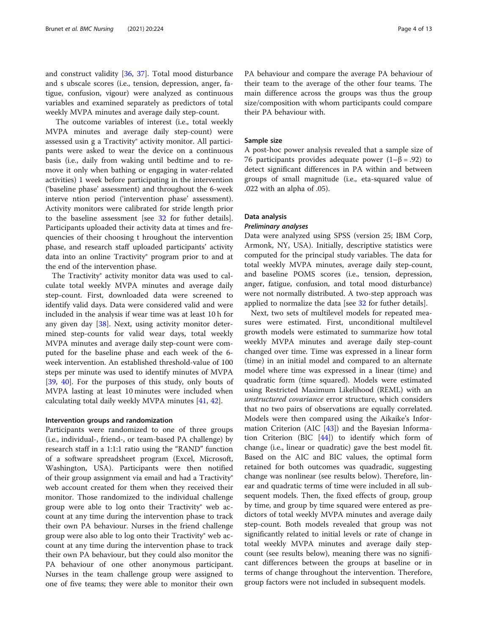and construct validity [[36](#page-12-0), [37](#page-12-0)]. Total mood disturbance and s ubscale scores (i.e., tension, depression, anger, fatigue, confusion, vigour) were analyzed as continuous variables and examined separately as predictors of total weekly MVPA minutes and average daily step-count.

The outcome variables of interest (i.e., total weekly MVPA minutes and average daily step-count) were assessed usin g a Tractivity® activity monitor. All participants were asked to wear the device on a continuous basis (i.e., daily from waking until bedtime and to remove it only when bathing or engaging in water-related activities) 1 week before participating in the intervention ('baseline phase' assessment) and throughout the 6-week interve ntion period ('intervention phase' assessment). Activity monitors were calibrated for stride length prior to the baseline assessment [see [32](#page-12-0) for futher details]. Participants uploaded their activity data at times and frequencies of their choosing t hroughout the intervention phase, and research staff uploaded participants' activity data into an online Tractivity® program prior to and at the end of the intervention phase.

The Tractivity® activity monitor data was used to calculate total weekly MVPA minutes and average daily step-count. First, downloaded data were screened to identify valid days. Data were considered valid and were included in the analysis if wear time was at least 10 h for any given day [[38\]](#page-12-0). Next, using activity monitor determined step-counts for valid wear days, total weekly MVPA minutes and average daily step-count were computed for the baseline phase and each week of the 6 week intervention. An established threshold-value of 100 steps per minute was used to identify minutes of MVPA [[39,](#page-12-0) [40](#page-12-0)]. For the purposes of this study, only bouts of MVPA lasting at least 10 minutes were included when calculating total daily weekly MVPA minutes [[41](#page-12-0), [42](#page-12-0)].

#### Intervention groups and randomization

Participants were randomized to one of three groups (i.e., individual-, friend-, or team-based PA challenge) by research staff in a 1:1:1 ratio using the "RAND" function of a software spreadsheet program (Excel, Microsoft, Washington, USA). Participants were then notified of their group assignment via email and had a Tractivity® web account created for them when they received their monitor. Those randomized to the individual challenge group were able to log onto their Tractivity® web account at any time during the intervention phase to track their own PA behaviour. Nurses in the friend challenge group were also able to log onto their Tractivity® web account at any time during the intervention phase to track their own PA behaviour, but they could also monitor the PA behaviour of one other anonymous participant. Nurses in the team challenge group were assigned to one of five teams; they were able to monitor their own

PA behaviour and compare the average PA behaviour of their team to the average of the other four teams. The main difference across the groups was thus the group size/composition with whom participants could compare their PA behaviour with.

#### Sample size

A post-hoc power analysis revealed that a sample size of 76 participants provides adequate power (1–β = .92) to detect significant differences in PA within and between groups of small magnitude (i.e., eta-squared value of .022 with an alpha of .05).

#### Data analysis

#### Preliminary analyses

Data were analyzed using SPSS (version 25; IBM Corp, Armonk, NY, USA). Initially, descriptive statistics were computed for the principal study variables. The data for total weekly MVPA minutes, average daily step-count, and baseline POMS scores (i.e., tension, depression, anger, fatigue, confusion, and total mood disturbance) were not normally distributed. A two-step approach was applied to normalize the data [see [32](#page-12-0) for futher details].

Next, two sets of multilevel models for repeated measures were estimated. First, unconditional multilevel growth models were estimated to summarize how total weekly MVPA minutes and average daily step-count changed over time. Time was expressed in a linear form (time) in an initial model and compared to an alternate model where time was expressed in a linear (time) and quadratic form (time squared). Models were estimated using Restricted Maximum Likelihood (REML) with an unstructured covariance error structure, which considers that no two pairs of observations are equally correlated. Models were then compared using the Aikaike's Information Criterion (AIC [\[43](#page-12-0)]) and the Bayesian Information Criterion (BIC [\[44](#page-12-0)]) to identify which form of change (i.e., linear or quadratic) gave the best model fit. Based on the AIC and BIC values, the optimal form retained for both outcomes was quadradic, suggesting change was nonlinear (see results below). Therefore, linear and quadratic terms of time were included in all subsequent models. Then, the fixed effects of group, group by time, and group by time squared were entered as predictors of total weekly MVPA minutes and average daily step-count. Both models revealed that group was not significantly related to initial levels or rate of change in total weekly MVPA minutes and average daily stepcount (see results below), meaning there was no significant differences between the groups at baseline or in terms of change throughout the intervention. Therefore, group factors were not included in subsequent models.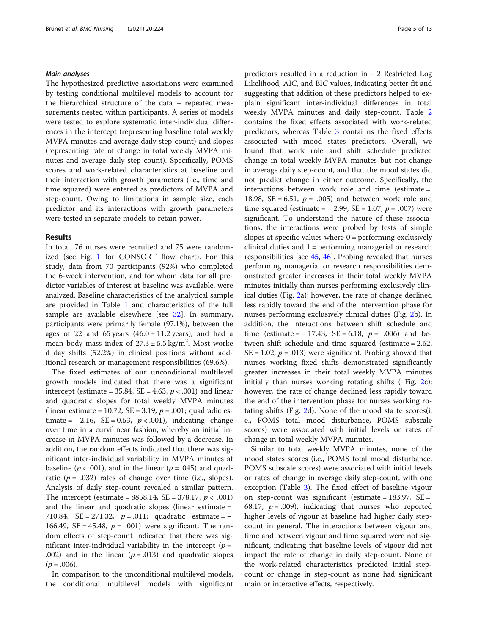#### Main analyses

The hypothesized predictive associations were examined by testing conditional multilevel models to account for the hierarchical structure of the data – repeated measurements nested within participants. A series of models were tested to explore systematic inter-individual differences in the intercept (representing baseline total weekly MVPA minutes and average daily step-count) and slopes (representing rate of change in total weekly MVPA minutes and average daily step-count). Specifically, POMS scores and work-related characteristics at baseline and their interaction with growth parameters (i.e., time and time squared) were entered as predictors of MVPA and step-count. Owing to limitations in sample size, each predictor and its interactions with growth parameters were tested in separate models to retain power.

#### Results

In total, 76 nurses were recruited and 75 were randomized (see Fig. [1](#page-5-0) for CONSORT flow chart). For this study, data from 70 participants (92%) who completed the 6-week intervention, and for whom data for all predictor variables of interest at baseline was available, were analyzed. Baseline characteristics of the analytical sample are provided in Table [1](#page-6-0) and characteristics of the full sample are available elsewhere [see [32](#page-12-0)]. In summary, participants were primarily female (97.1%), between the ages of 22 and 65 years  $(46.0 \pm 11.2 \text{ years})$ , and had a mean body mass index of  $27.3 \pm 5.5$  kg/m<sup>2</sup>. Most worke d day shifts (52.2%) in clinical positions without additional research or management responsibilities (69.6%).

The fixed estimates of our unconditional multilevel growth models indicated that there was a significant intercept (estimate = 35.84, SE = 4.63,  $p < .001$ ) and linear and quadratic slopes for total weekly MVPA minutes (linear estimate = 10.72, SE = 3.19,  $p = .001$ ; quadradic estimate =  $-2.16$ , SE = 0.53,  $p < .001$ ), indicating change over time in a curvilinear fashion, whereby an initial increase in MVPA minutes was followed by a decrease. In addition, the random effects indicated that there was significant inter-individual variability in MVPA minutes at baseline ( $p < .001$ ), and in the linear ( $p = .045$ ) and quadratic ( $p = .032$ ) rates of change over time (i.e., slopes). Analysis of daily step-count revealed a similar pattern. The intercept (estimate =  $8858.14$ , SE = 378.17,  $p < .001$ ) and the linear and quadratic slopes (linear estimate = 710.84,  $SE = 271.32$ ,  $p = .011$ ; quadratic estimate = − 166.49, SE = 45.48,  $p = .001$ ) were significant. The random effects of step-count indicated that there was significant inter-individual variability in the intercept  $(p =$ .002) and in the linear ( $p = .013$ ) and quadratic slopes  $(p=.006).$ 

In comparison to the unconditional multilevel models, the conditional multilevel models with significant predictors resulted in a reduction in − 2 Restricted Log Likelihood, AIC, and BIC values, indicating better fit and suggesting that addition of these predictors helped to explain significant inter-individual differences in total weekly MVPA minutes and daily step-count. Table [2](#page-7-0) contains the fixed effects associated with work-related predictors, whereas Table [3](#page-8-0) contai ns the fixed effects associated with mood states predictors. Overall, we found that work role and shift schedule predicted change in total weekly MVPA minutes but not change in average daily step-count, and that the mood states did not predict change in either outcome. Specifically, the interactions between work role and time (estimate = 18.98, SE = 6.51,  $p = .005$ ) and between work role and time squared (estimate =  $-2.99$ , SE = 1.07,  $p = .007$ ) were significant. To understand the nature of these associations, the interactions were probed by tests of simple slopes at specific values where  $0 =$  performing exclusively clinical duties and 1 = performing managerial or research responsibilities [see [45](#page-12-0), [46](#page-12-0)]. Probing revealed that nurses performing managerial or research responsibilities demonstrated greater increases in their total weekly MVPA minutes initially than nurses performing exclusively clinical duties (Fig. [2a](#page-10-0)); however, the rate of change declined less rapidly toward the end of the intervention phase for nurses performing exclusively clinical duties (Fig. [2](#page-10-0)b). In addition, the interactions between shift schedule and time (estimate =  $-17.43$ , SE = 6.18,  $p = .006$ ) and between shift schedule and time squared (estimate = 2.62,  $SE = 1.02$ ,  $p = .013$ ) were significant. Probing showed that nurses working fixed shifts demonstrated significantly greater increases in their total weekly MVPA minutes initially than nurses working rotating shifts (Fig. [2c](#page-10-0)); however, the rate of change declined less rapidly toward the end of the intervention phase for nurses working rotating shifts (Fig. [2](#page-10-0)d). None of the mood sta te scores(i. e., POMS total mood disturbance, POMS subscale scores) were associated with initial levels or rates of change in total weekly MVPA minutes.

Similar to total weekly MVPA minutes, none of the mood states scores (i.e., POMS total mood disturbance, POMS subscale scores) were associated with initial levels or rates of change in average daily step-count, with one exception (Table [3\)](#page-8-0). The fixed effect of baseline vigour on step-count was significant (estimate =  $183.97$ , SE = 68.17,  $p = .009$ ), indicating that nurses who reported higher levels of vigour at baseline had higher daily stepcount in general. The interactions between vigour and time and between vigour and time squared were not significant, indicating that baseline levels of vigour did not impact the rate of change in daily step-count. None of the work-related characteristics predicted initial stepcount or change in step-count as none had significant main or interactive effects, respectively.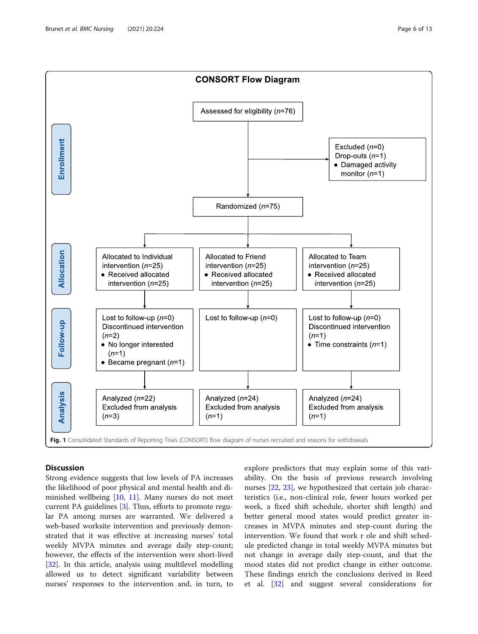<span id="page-5-0"></span>

#### **Discussion**

Strong evidence suggests that low levels of PA increases the likelihood of poor physical and mental health and diminished wellbeing [\[10](#page-11-0), [11](#page-11-0)]. Many nurses do not meet current PA guidelines [[3\]](#page-11-0). Thus, efforts to promote regular PA among nurses are warranted. We delivered a web-based worksite intervention and previously demonstrated that it was effective at increasing nurses' total weekly MVPA minutes and average daily step-count; however, the effects of the intervention were short-lived [[32\]](#page-12-0). In this article, analysis using multilevel modelling allowed us to detect significant variability between nurses' responses to the intervention and, in turn, to

explore predictors that may explain some of this variability. On the basis of previous research involving nurses [\[22](#page-12-0), [23](#page-12-0)], we hypothesized that certain job characteristics (i.e., non-clinical role, fewer hours worked per week, a fixed shift schedule, shorter shift length) and better general mood states would predict greater increases in MVPA minutes and step-count during the intervention. We found that work r ole and shift schedule predicted change in total weekly MVPA minutes but not change in average daily step-count, and that the mood states did not predict change in either outcome. These findings enrich the conclusions derived in Reed et al. [\[32\]](#page-12-0) and suggest several considerations for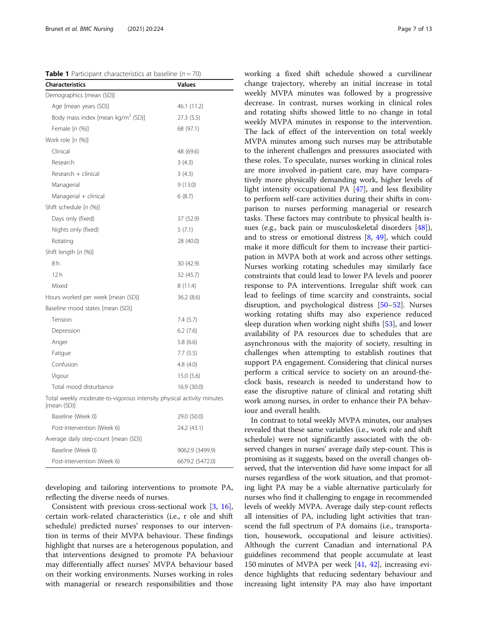<span id="page-6-0"></span>**Table 1** Participant characteristics at baseline ( $n = 70$ )

| <b>Characteristics</b>                                                               | Values          |
|--------------------------------------------------------------------------------------|-----------------|
| Demographics [mean (SD)]                                                             |                 |
| Age [mean years (SD)]                                                                | 46.1 (11.2)     |
| Body mass index [mean kg/m <sup>2</sup> (SD)]                                        | 27.3 (5.5)      |
| Female $[n (%)]$                                                                     | 68 (97.1)       |
| Work role [n (%)]                                                                    |                 |
| Clinical                                                                             | 48 (69.6)       |
| Research                                                                             | 3(4.3)          |
| Research $+$ clinical                                                                | 3(4.3)          |
| Managerial                                                                           | 9(13.0)         |
| Managerial + clinical                                                                | 6(8.7)          |
| Shift schedule [n (%)]                                                               |                 |
| Days only (fixed)                                                                    | 37 (52.9)       |
| Nights only (fixed)                                                                  | 5(7.1)          |
| Rotating                                                                             | 28 (40.0)       |
| Shift length [n (%)]                                                                 |                 |
| 8h                                                                                   | 30 (42.9)       |
| 12h                                                                                  | 32 (45.7)       |
| Mixed                                                                                | 8 (11.4)        |
| Hours worked per week [mean (SD)]                                                    | 36.2(8.6)       |
| Baseline mood states [mean (SD)]                                                     |                 |
| Tension                                                                              | 7.4(5.7)        |
| Depression                                                                           | 6.2(7.6)        |
| Anger                                                                                | 5.8(6.6)        |
| Fatigue                                                                              | 7.7(5.5)        |
| Confusion                                                                            | 4.8(4.0)        |
| Vigour                                                                               | 15.0(5.6)       |
| Total mood disturbance                                                               | 16.9 (30.0)     |
| Total weekly moderate-to-vigorous intensity physical activity minutes<br>[mean (SD)] |                 |
| Baseline (Week 0)                                                                    | 29.0 (50.0)     |
| Post-intervention (Week 6)                                                           | 24.2 (43.1)     |
| Average daily step-count [mean (SD)]                                                 |                 |
| Baseline (Week 0)                                                                    | 9062.9 (3499.9) |
|                                                                                      |                 |

developing and tailoring interventions to promote PA, reflecting the diverse needs of nurses.

Post-intervention (Week 6) 6679.2 (5472.0)

Consistent with previous cross-sectional work [\[3](#page-11-0), [16](#page-11-0)], certain work-related characteristics (i.e., r ole and shift schedule) predicted nurses' responses to our intervention in terms of their MVPA behaviour. These findings highlight that nurses are a heterogenous population, and that interventions designed to promote PA behaviour may differentially affect nurses' MVPA behaviour based on their working environments. Nurses working in roles with managerial or research responsibilities and those working a fixed shift schedule showed a curvilinear change trajectory, whereby an initial increase in total weekly MVPA minutes was followed by a progressive decrease. In contrast, nurses working in clinical roles and rotating shifts showed little to no change in total weekly MVPA minutes in response to the intervention. The lack of effect of the intervention on total weekly MVPA minutes among such nurses may be attributable to the inherent challenges and pressures associated with these roles. To speculate, nurses working in clinical roles are more involved in-patient care, may have comparatively more physically demanding work, higher levels of light intensity occupational PA [\[47\]](#page-12-0), and less flexibility to perform self-care activities during their shifts in comparison to nurses performing managerial or research tasks. These factors may contribute to physical health issues (e.g., back pain or musculoskeletal disorders [\[48](#page-12-0)]), and to stress or emotional distress [[8](#page-11-0), [49](#page-12-0)], which could make it more difficult for them to increase their participation in MVPA both at work and across other settings. Nurses working rotating schedules may similarly face constraints that could lead to lower PA levels and poorer response to PA interventions. Irregular shift work can lead to feelings of time scarcity and constraints, social disruption, and psychological distress [[50](#page-12-0)–[52](#page-12-0)]. Nurses working rotating shifts may also experience reduced sleep duration when working night shifts [[53](#page-12-0)], and lower availability of PA resources due to schedules that are asynchronous with the majority of society, resulting in challenges when attempting to establish routines that support PA engagement. Considering that clinical nurses perform a critical service to society on an around-theclock basis, research is needed to understand how to ease the disruptive nature of clinical and rotating shift work among nurses, in order to enhance their PA behaviour and overall health.

In contrast to total weekly MVPA minutes, our analyses revealed that these same variables (i.e., work role and shift schedule) were not significantly associated with the observed changes in nurses' average daily step-count. This is promising as it suggests, based on the overall changes observed, that the intervention did have some impact for all nurses regardless of the work situation, and that promoting light PA may be a viable alternative particularly for nurses who find it challenging to engage in recommended levels of weekly MVPA. Average daily step-count reflects all intensities of PA, including light activities that transcend the full spectrum of PA domains (i.e., transportation, housework, occupational and leisure activities). Although the current Canadian and international PA guidelines recommend that people accumulate at least 150 minutes of MVPA per week [\[41,](#page-12-0) [42](#page-12-0)], increasing evidence highlights that reducing sedentary behaviour and increasing light intensity PA may also have important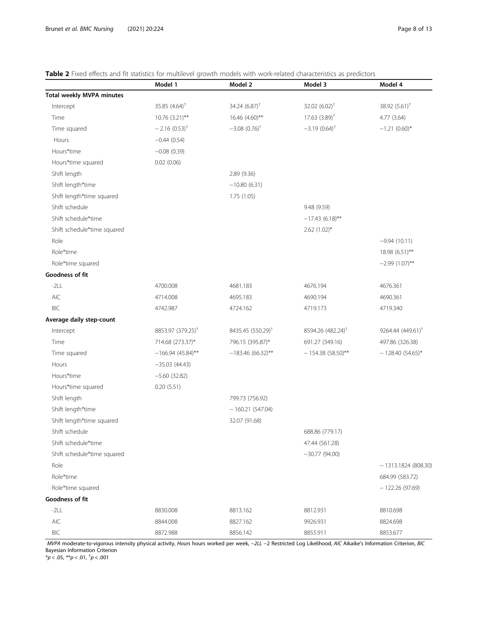#### <span id="page-7-0"></span>Table 2 Fixed effects and fit statistics for multilevel growth models with work-related characteristics as predictors

|                                  | Model 1                       | Model 2                       | Model 3                       | Model 4                       |
|----------------------------------|-------------------------------|-------------------------------|-------------------------------|-------------------------------|
| <b>Total weekly MVPA minutes</b> |                               |                               |                               |                               |
| Intercept                        | 35.85 $(4.64)$ <sup>†</sup>   | 34.24 $(6.87)$ <sup>†</sup>   | 32.02 $(6.02)^+$              | 38.92 $(5.61)$ <sup>†</sup>   |
| Time                             | 10.76 (3.21)**                | 16.46 (4.60)**                | $17.63$ $(3.89)$ <sup>+</sup> | 4.77 (3.64)                   |
| Time squared                     | $-2.16(0.53)^{+}$             | $-3.08$ $(0.76)^{+}$          | $-3.19(0.64)^{\dagger}$       | $-1.21(0.60)$ *               |
| Hours                            | $-0.44(0.54)$                 |                               |                               |                               |
| Hours*time                       | $-0.08(0.39)$                 |                               |                               |                               |
| Hours*time squared               | 0.02(0.06)                    |                               |                               |                               |
| Shift length                     |                               | 2.89(9.36)                    |                               |                               |
| Shift length*time                |                               | $-10.80(6.31)$                |                               |                               |
| Shift length*time squared        |                               | 1.75 (1.05)                   |                               |                               |
| Shift schedule                   |                               |                               | 9.48 (9.59)                   |                               |
| Shift schedule*time              |                               |                               | $-17.43(6.18)$ **             |                               |
| Shift schedule*time squared      |                               |                               | $2.62$ (1.02)*                |                               |
| Role                             |                               |                               |                               | $-9.94(10.11)$                |
| Role*time                        |                               |                               |                               | 18.98 (6.51)**                |
| Role*time squared                |                               |                               |                               | $-2.99(1.07)$ **              |
| Goodness of fit                  |                               |                               |                               |                               |
| $-2LL$                           | 4700.008                      | 4681.183                      | 4676.194                      | 4676.361                      |
| <b>AIC</b>                       | 4714.008                      | 4695.183                      | 4690.194                      | 4690.361                      |
| <b>BIC</b>                       | 4742.987                      | 4724.162                      | 4719.173                      | 4719.340                      |
| Average daily step-count         |                               |                               |                               |                               |
| Intercept                        | 8853.97 (379.25) <sup>†</sup> | 8435.45 (550.29) <sup>†</sup> | 8594.26 (482.24) <sup>†</sup> | 9264.44 (449.61) <sup>†</sup> |
| Time                             | 714.68 (273.37)*              | 796.15 (395.87)*              | 691.27 (349.16)               | 497.86 (326.38)               |
| Time squared                     | $-166.94(45.84)$ **           | $-183.46(66.32)$ **           | $-154.38(58.50)$ **           | $-128.40(54.65)$ *            |
| Hours                            | $-35.03(44.43)$               |                               |                               |                               |
| Hours*time                       | $-5.60(32.82)$                |                               |                               |                               |
| Hours*time squared               | 0.20(5.51)                    |                               |                               |                               |
| Shift length                     |                               | 799.73 (756.92)               |                               |                               |
| Shift length*time                |                               | $-160.21(547.04)$             |                               |                               |
| Shift length*time squared        |                               | 32.07 (91.68)                 |                               |                               |
| Shift schedule                   |                               |                               | 688.86 (779.17)               |                               |
| Shift schedule*time              |                               |                               | 47.44 (561.28)                |                               |
| Shift schedule*time squared      |                               |                               | $-30.77(94.00)$               |                               |
| Role                             |                               |                               |                               | $-1313.1824(808.30)$          |
| Role*time                        |                               |                               |                               | 684.99 (583.72)               |
| Role*time squared                |                               |                               |                               | $-122.26(97.69)$              |
| Goodness of fit                  |                               |                               |                               |                               |
| $-2LL$                           | 8830.008                      | 8813.162                      | 8812.931                      | 8810.698                      |
| AIC                              | 8844.008                      | 8827.162                      | 9926.931                      | 8824.698                      |
| BIC                              | 8872.988                      | 8856.142                      | 8855.911                      | 8853.677                      |

*MVPA* moderate-to-vigorous intensity physical activity, Hours hours worked per week, −2LL −2 Restricted Log Likelihood, AIC Aikaike's Information Criterion, BIC<br>Bayesian Information Criterion<br>\*p < .05, \*\*p < .01, <sup>†</sup>p <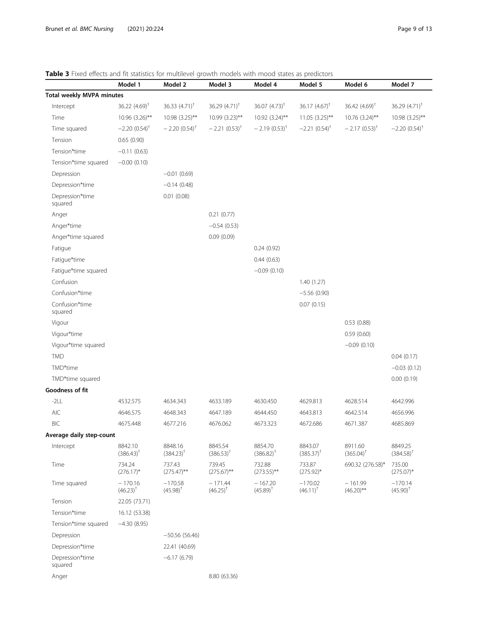#### <span id="page-8-0"></span>Table 3 Fixed effects and fit statistics for multilevel growth models with mood states as predictors

| <b>Thread eneces and ne statistics for manuever grower models with mood states as predictors</b> | Model 1                    | Model 2                    | Model 3                     | Model 4                             | Model 5                    | Model 6                     | Model 7                    |
|--------------------------------------------------------------------------------------------------|----------------------------|----------------------------|-----------------------------|-------------------------------------|----------------------------|-----------------------------|----------------------------|
| <b>Total weekly MVPA minutes</b>                                                                 |                            |                            |                             |                                     |                            |                             |                            |
| Intercept                                                                                        | 36.22 $(4.69)^{\dagger}$   | 36.33 $(4.71)^{+}$         | 36.29 $(4.71)$ <sup>†</sup> | 36.07 $(4.73)^{+}$                  | 36.17 $(4.67)^{+}$         | 36.42 $(4.69)$ <sup>†</sup> | 36.29 $(4.71)^{+}$         |
| Time                                                                                             | 10.96 (3.26)**             | 10.98 (3.25)**             | 10.99 (3.23)**              | $10.92 (3.24)$ **                   | $11.05$ $(3.25)$ **        | 10.76 (3.24)**              | 10.98 (3.25)**             |
| Time squared                                                                                     | $-2.20(0.54)^{\dagger}$    | $-2.20(0.54)^{\dagger}$    | $-2.21(0.53)^{+}$           | $-2.19(0.53)^{+}$                   | $-2.21$ $(0.54)^{\dagger}$ | $-2.17(0.53)^{+}$           | $-2.20(0.54)$ <sup>†</sup> |
| Tension                                                                                          | 0.65(0.90)                 |                            |                             |                                     |                            |                             |                            |
| Tension*time                                                                                     | $-0.11(0.63)$              |                            |                             |                                     |                            |                             |                            |
| Tension*time squared                                                                             | $-0.00(0.10)$              |                            |                             |                                     |                            |                             |                            |
| Depression                                                                                       |                            | $-0.01(0.69)$              |                             |                                     |                            |                             |                            |
| Depression*time                                                                                  |                            | $-0.14(0.48)$              |                             |                                     |                            |                             |                            |
| Depression*time<br>squared                                                                       |                            | 0.01(0.08)                 |                             |                                     |                            |                             |                            |
| Anger                                                                                            |                            |                            | 0.21(0.77)                  |                                     |                            |                             |                            |
| Anger*time                                                                                       |                            |                            | $-0.54(0.53)$               |                                     |                            |                             |                            |
| Anger*time squared                                                                               |                            |                            | 0.09(0.09)                  |                                     |                            |                             |                            |
| Fatigue                                                                                          |                            |                            |                             | 0.24(0.92)                          |                            |                             |                            |
| Fatigue*time                                                                                     |                            |                            |                             | 0.44(0.63)                          |                            |                             |                            |
| Fatigue*time squared                                                                             |                            |                            |                             | $-0.09(0.10)$                       |                            |                             |                            |
| Confusion                                                                                        |                            |                            |                             |                                     | 1.40(1.27)                 |                             |                            |
| Confusion*time                                                                                   |                            |                            |                             |                                     | $-5.56(0.90)$              |                             |                            |
| Confusion*time<br>squared                                                                        |                            |                            |                             |                                     | 0.07(0.15)                 |                             |                            |
| Vigour                                                                                           |                            |                            |                             |                                     |                            | 0.53(0.88)                  |                            |
| Vigour*time                                                                                      |                            |                            |                             |                                     |                            | 0.59(0.60)                  |                            |
| Vigour*time squared                                                                              |                            |                            |                             |                                     |                            | $-0.09(0.10)$               |                            |
| <b>TMD</b>                                                                                       |                            |                            |                             |                                     |                            |                             | 0.04(0.17)                 |
| TMD*time                                                                                         |                            |                            |                             |                                     |                            |                             | $-0.03(0.12)$              |
| TMD*time squared                                                                                 |                            |                            |                             |                                     |                            |                             | 0.00(0.19)                 |
| Goodness of fit                                                                                  |                            |                            |                             |                                     |                            |                             |                            |
| $-2LL$                                                                                           | 4532.575                   | 4634.343                   | 4633.189                    | 4630.450                            | 4629.813                   | 4628.514                    | 4642.996                   |
| <b>AIC</b>                                                                                       | 4646.575                   | 4648.343                   | 4647.189                    | 4644.450                            | 4643.813                   | 4642.514                    | 4656.996                   |
| <b>BIC</b>                                                                                       | 4675.448                   | 4677.216                   | 4676.062                    | 4673.323                            | 4672.686                   | 4671.387                    | 4685.869                   |
| Average daily step-count                                                                         |                            |                            |                             |                                     |                            |                             |                            |
| Intercept                                                                                        | 8842.10<br>$(386.43)^{+}$  | 8848.16<br>$(384.23)^{T}$  | 8845.54<br>$(386.53)^{+}$   | 8854.70<br>$(386.82)^{+}$           | 8843.07<br>$(385.37)^{+}$  | 8911.60<br>$(365.04)^{+}$   | 8849.25<br>$(384.58)^{+}$  |
| Time                                                                                             | 734.24<br>$(276.17)^*$     | 737.43<br>$(275.47)$ **    | 739.45<br>$(275.67)$ **     | 732.88<br>$(273.55)$ **             | 733.87<br>$(275.92)^*$     | 690.32 (276.58)*            | 735.00<br>$(275.07)^*$     |
| Time squared                                                                                     | $-170.16$<br>$(46.23)^{+}$ | $-170.58$<br>$(45.98)^{+}$ | $-171.44$<br>$(46.25)^{+}$  | $-167.20$<br>$(45.89)$ <sup>†</sup> | $-170.02$<br>$(46.11)^{+}$ | $-161.99$<br>$(46.20)$ **   | $-170.14$<br>$(45.90)^{+}$ |
| Tension                                                                                          | 22.05 (73.71)              |                            |                             |                                     |                            |                             |                            |
| Tension*time                                                                                     | 16.12 (53.38)              |                            |                             |                                     |                            |                             |                            |
| Tension*time squared                                                                             | $-4.30(8.95)$              |                            |                             |                                     |                            |                             |                            |
| Depression                                                                                       |                            | $-50.56(56.46)$            |                             |                                     |                            |                             |                            |
| Depression*time                                                                                  |                            | 22.41 (40.69)              |                             |                                     |                            |                             |                            |
| Depression*time<br>squared                                                                       |                            | $-6.17(6.79)$              |                             |                                     |                            |                             |                            |
| Anger                                                                                            |                            |                            | 8.80 (63.36)                |                                     |                            |                             |                            |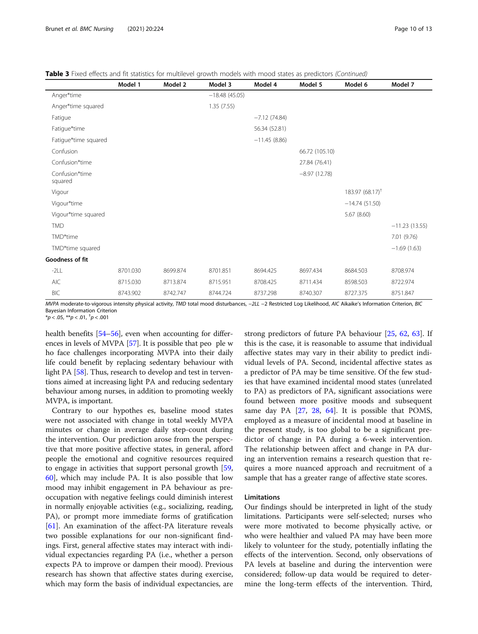|  |  | Table 3 Fixed effects and fit statistics for multilevel growth models with mood states as predictors (Continued) |  |  |  |
|--|--|------------------------------------------------------------------------------------------------------------------|--|--|--|
|  |  |                                                                                                                  |  |  |  |

|                           | Model 1  | Model 2  | Model 3         | Model 4        | Model 5        | Model 6             | Model 7         |
|---------------------------|----------|----------|-----------------|----------------|----------------|---------------------|-----------------|
| Anger*time                |          |          | $-18.48(45.05)$ |                |                |                     |                 |
| Anger*time squared        |          |          | 1.35(7.55)      |                |                |                     |                 |
| Fatigue                   |          |          |                 | $-7.12(74.84)$ |                |                     |                 |
| Fatigue*time              |          |          |                 | 56.34 (52.81)  |                |                     |                 |
| Fatigue*time squared      |          |          |                 | $-11.45(8.86)$ |                |                     |                 |
| Confusion                 |          |          |                 |                | 66.72 (105.10) |                     |                 |
| Confusion*time            |          |          |                 |                | 27.84 (76.41)  |                     |                 |
| Confusion*time<br>squared |          |          |                 |                | $-8.97(12.78)$ |                     |                 |
| Vigour                    |          |          |                 |                |                | $183.97(68.17)^{+}$ |                 |
| Vigour*time               |          |          |                 |                |                | $-14.74(51.50)$     |                 |
| Vigour*time squared       |          |          |                 |                |                | 5.67(8.60)          |                 |
| <b>TMD</b>                |          |          |                 |                |                |                     | $-11.23(13.55)$ |
| TMD*time                  |          |          |                 |                |                |                     | 7.01 (9.76)     |
| TMD*time squared          |          |          |                 |                |                |                     | $-1.69(1.63)$   |
| Goodness of fit           |          |          |                 |                |                |                     |                 |
| $-2LL$                    | 8701.030 | 8699.874 | 8701.851        | 8694.425       | 8697.434       | 8684.503            | 8708.974        |
| <b>AIC</b>                | 8715.030 | 8713.874 | 8715.951        | 8708.425       | 8711.434       | 8598.503            | 8722.974        |
| <b>BIC</b>                | 8743.902 | 8742.747 | 8744.724        | 8737.298       | 8740.307       | 8727.375            | 8751.847        |

MVPA moderate-to-vigorous intensity physical activity, TMD total mood disturbances, -2LL -2 Restricted Log Likelihood, AIC Aikaike's Information Criterion, BIC Bayesian Information Criterion

\* $p < .05,$  \*\* $p < .01,$   $^{\dagger}p < .001$ 

health benefits [[54](#page-12-0)–[56\]](#page-12-0), even when accounting for differences in levels of MVPA [[57](#page-12-0)]. It is possible that peo ple w ho face challenges incorporating MVPA into their daily life could benefit by replacing sedentary behaviour with light PA [\[58\]](#page-12-0). Thus, research to develop and test in terventions aimed at increasing light PA and reducing sedentary behaviour among nurses, in addition to promoting weekly MVPA, is important.

Contrary to our hypothes es, baseline mood states were not associated with change in total weekly MVPA minutes or change in average daily step-count during the intervention. Our prediction arose from the perspective that more positive affective states, in general, afford people the emotional and cognitive resources required to engage in activities that support personal growth [[59](#page-12-0), [60\]](#page-12-0), which may include PA. It is also possible that low mood may inhibit engagement in PA behaviour as preoccupation with negative feelings could diminish interest in normally enjoyable activities (e.g., socializing, reading, PA), or prompt more immediate forms of gratification [[61\]](#page-12-0). An examination of the affect-PA literature reveals two possible explanations for our non-significant findings. First, general affective states may interact with individual expectancies regarding PA (i.e., whether a person expects PA to improve or dampen their mood). Previous research has shown that affective states during exercise, which may form the basis of individual expectancies, are

strong predictors of future PA behaviour [\[25](#page-12-0), [62,](#page-12-0) [63\]](#page-12-0). If this is the case, it is reasonable to assume that individual affective states may vary in their ability to predict individual levels of PA. Second, incidental affective states as a predictor of PA may be time sensitive. Of the few studies that have examined incidental mood states (unrelated to PA) as predictors of PA, significant associations were found between more positive moods and subsequent same day PA [\[27](#page-12-0), [28](#page-12-0), [64\]](#page-12-0). It is possible that POMS, employed as a measure of incidental mood at baseline in the present study, is too global to be a significant predictor of change in PA during a 6-week intervention. The relationship between affect and change in PA during an intervention remains a research question that requires a more nuanced approach and recruitment of a sample that has a greater range of affective state scores.

#### Limitations

Our findings should be interpreted in light of the study limitations. Participants were self-selected; nurses who were more motivated to become physically active, or who were healthier and valued PA may have been more likely to volunteer for the study, potentially inflating the effects of the intervention. Second, only observations of PA levels at baseline and during the intervention were considered; follow-up data would be required to determine the long-term effects of the intervention. Third,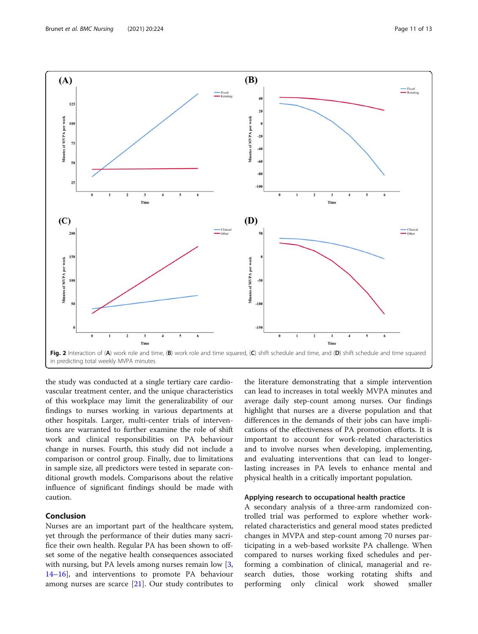<span id="page-10-0"></span>

the study was conducted at a single tertiary care cardiovascular treatment center, and the unique characteristics of this workplace may limit the generalizability of our findings to nurses working in various departments at other hospitals. Larger, multi-center trials of interventions are warranted to further examine the role of shift work and clinical responsibilities on PA behaviour change in nurses. Fourth, this study did not include a comparison or control group. Finally, due to limitations in sample size, all predictors were tested in separate conditional growth models. Comparisons about the relative influence of significant findings should be made with caution.

#### Conclusion

Nurses are an important part of the healthcare system, yet through the performance of their duties many sacrifice their own health. Regular PA has been shown to offset some of the negative health consequences associated with nursing, but PA levels among nurses remain low [[3](#page-11-0), [14](#page-11-0)–[16](#page-11-0)], and interventions to promote PA behaviour among nurses are scarce  $[21]$  $[21]$ . Our study contributes to

the literature demonstrating that a simple intervention can lead to increases in total weekly MVPA minutes and average daily step-count among nurses. Our findings highlight that nurses are a diverse population and that differences in the demands of their jobs can have implications of the effectiveness of PA promotion efforts. It is important to account for work-related characteristics and to involve nurses when developing, implementing, and evaluating interventions that can lead to longerlasting increases in PA levels to enhance mental and physical health in a critically important population.

#### Applying research to occupational health practice

A secondary analysis of a three-arm randomized controlled trial was performed to explore whether workrelated characteristics and general mood states predicted changes in MVPA and step-count among 70 nurses participating in a web-based worksite PA challenge. When compared to nurses working fixed schedules and performing a combination of clinical, managerial and research duties, those working rotating shifts and performing only clinical work showed smaller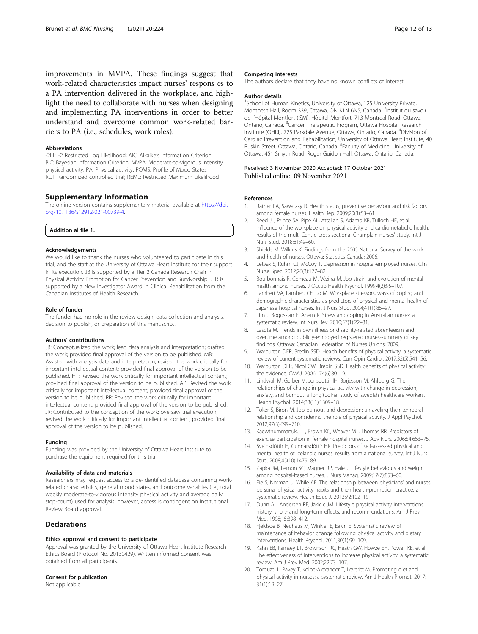<span id="page-11-0"></span>improvements in MVPA. These findings suggest that work-related characteristics impact nurses' respons es to a PA intervention delivered in the workplace, and highlight the need to collaborate with nurses when designing and implementing PA interventions in order to better understand and overcome common work-related barriers to PA (i.e., schedules, work roles).

#### Abbreviations

-2LL: -2 Restricted Log Likelihood; AIC: Aikaike's Information Criterion; BIC: Bayesian Information Criterion; MVPA: Moderate-to-vigorous intensity physical activity; PA: Physical activity; POMS: Profile of Mood States; RCT: Randomized controlled trial; REML: Restricted Maximum Likelihood

#### Supplementary Information

The online version contains supplementary material available at [https://doi.](https://doi.org/10.1186/s12912-021-00739-4) [org/10.1186/s12912-021-00739-4.](https://doi.org/10.1186/s12912-021-00739-4)

#### Addition al file 1.

#### Acknowledgements

We would like to thank the nurses who volunteered to participate in this trial, and the staff at the University of Ottawa Heart Institute for their support in its execution. JB is supported by a Tier 2 Canada Research Chair in Physical Activity Promotion for Cancer Prevention and Survivorship. JLR is supported by a New Investigator Award in Clinical Rehabilitation from the Canadian Institutes of Health Research.

#### Role of funder

The funder had no role in the review design, data collection and analysis, decision to publish, or preparation of this manuscript.

#### Authors' contributions

JB: Conceptualized the work; lead data analysis and interpretation; drafted the work; provided final approval of the version to be published. MB: Assisted with analysis data and interpretation; revised the work critically for important intellectual content; provided final approval of the version to be published. HT: Revised the work critically for important intellectual content; provided final approval of the version to be published. AP: Revised the work critically for important intellectual content; provided final approval of the version to be published. RR: Revised the work critically for important intellectual content; provided final approval of the version to be published. JR: Contributed to the conception of the work; oversaw trial execution; revised the work critically for important intellectual content; provided final approval of the version to be published.

#### Funding

Funding was provided by the University of Ottawa Heart Institute to purchase the equipment required for this trial.

#### Availability of data and materials

Researchers may request access to a de-identified database containing workrelated characteristics, general mood states, and outcome variables (i.e., total weekly moderate-to-vigorous intensity physical activity and average daily step-count) used for analysis; however, access is contingent on Institutional Review Board approval.

#### Declarations

#### Ethics approval and consent to participate

Approval was granted by the University of Ottawa Heart Institute Research Ethics Board (Protocol No. 20130429). Written informed consent was obtained from all participants.

#### Consent for publication

Not applicable.

The authors declare that they have no known conflicts of interest.

#### Author details

<sup>1</sup>School of Human Kinetics, University of Ottawa, 125 University Private, Montpetit Hall, Room 339, Ottawa, ON K1N 6N5, Canada. <sup>2</sup>Institut du savoir de l'Hôpital Montfort (ISM), Hôpital Montfort, 713 Montreal Road, Ottawa, Ontario, Canada. <sup>3</sup> Cancer Therapeutic Program, Ottawa Hospital Research Institute (OHRI), 725 Parkdale Avenue, Ottawa, Ontario, Canada. <sup>4</sup> Division of Cardiac Prevention and Rehabilitation, University of Ottawa Heart Institute, 40 Ruskin Street, Ottawa, Ontario, Canada. <sup>5</sup> Faculty of Medicine, University of Ottawa, 451 Smyth Road, Roger Guidon Hall, Ottawa, Ontario, Canada.

#### Received: 3 November 2020 Accepted: 17 October 2021 Published online: 09 November 2021

#### References

- 1. Ratner PA, Sawatzky R. Health status, preventive behaviour and risk factors among female nurses. Health Rep. 2009;20(3):53–61.
- 2. Reed JL, Prince SA, Pipe AL, Attallah S, Adamo KB, Tulloch HE, et al. Influence of the workplace on physical activity and cardiometabolic health: results of the multi-Centre cross-sectional Champlain nurses' study. Int J Nurs Stud. 2018;81:49–60.
- 3. Shields M, Wilkins K. Findings from the 2005 National Survey of the work and health of nurses. Ottawa: Statistics Canada; 2006.
- 4. Letvak S, Ruhm CJ, McCoy T. Depression in hospital-employed nurses. Clin Nurse Spec. 2012;26(3):177–82.
- 5. Bourbonnais R, Comeau M, Vézina M. Job strain and evolution of mental health among nurses. J Occup Health Psychol. 1999;4(2):95–107.
- 6. Lambert VA, Lambert CE, Ito M. Workplace stressors, ways of coping and demographic characteristics as predictors of physical and mental health of Japanese hospital nurses. Int J Nurs Stud. 2004;41(1):85–97.
- 7. Lim J, Bogossian F, Ahern K. Stress and coping in Australian nurses: a systematic review. Int Nurs Rev. 2010;57(1):22–31.
- 8. Lasota M. Trends in own illness or disability-related absenteeism and overtime among publicly-employed registered nurses-summary of key findings. Ottawa: Canadian Federation of Nurses Unions; 2009.
- 9. Warburton DER, Bredin SSD. Health benefits of physical activity: a systematic review of current systematic reviews. Curr Opin Cardiol. 2017;32(5):541–56.
- 10. Warburton DER, Nicol CW, Bredin SSD. Health benefits of physical activity: the evidence. CMAJ. 2006;174(6):801–9.
- 11. Lindwall M, Gerber M, Jonsdottir IH, Börjesson M, Ahlborg G. The relationships of change in physical activity with change in depression, anxiety, and burnout: a longitudinal study of swedish healthcare workers. Health Psychol. 2014;33(11):1309–18.
- 12. Toker S, Biron M. Job burnout and depression: unraveling their temporal relationship and considering the role of physical activity. J Appl Psychol. 2012;97(3):699–710.
- 13. Kaewthummanukul T, Brown KC, Weaver MT, Thomas RR. Predictors of exercise participation in female hospital nurses. J Adv Nurs. 2006;54:663–75.
- 14. Sveinsdóttir H, Gunnarsdóttir HK. Predictors of self-assessed physical and mental health of Icelandic nurses: results from a national survey. Int J Nurs Stud. 2008;45(10):1479–89.
- 15. Zapka JM, Lemon SC, Magner RP, Hale J. Lifestyle behaviours and weight among hospital-based nurses. J Nurs Manag. 2009;17(7):853–60.
- 16. Fie S, Norman IJ, While AE. The relationship between physicians' and nurses' personal physical activity habits and their health-promotion practice: a systematic review. Health Educ J. 2013;72:102–19.
- 17. Dunn AL, Andersen RE, Jakicic JM. Lifestyle physical activity interventions history, short- and long-term effects, and recommendations. Am J Prev Med. 1998;15:398–412.
- 18. Fjeldsoe B, Neuhaus M, Winkler E, Eakin E. Systematic review of maintenance of behavior change following physical activity and dietary interventions. Health Psychol. 2011;30(1):99–109.
- 19. Kahn EB, Ramsey LT, Brownson RC, Heath GW, Howze EH, Powell KE, et al. The effectiveness of interventions to increase physical activity: a systematic review. Am J Prev Med. 2002;22:73–107.
- 20. Torquati L, Pavey T, Kolbe-Alexander T, Leveritt M. Promoting diet and physical activity in nurses: a systematic review. Am J Health Promot. 2017; 31(1):19–27.